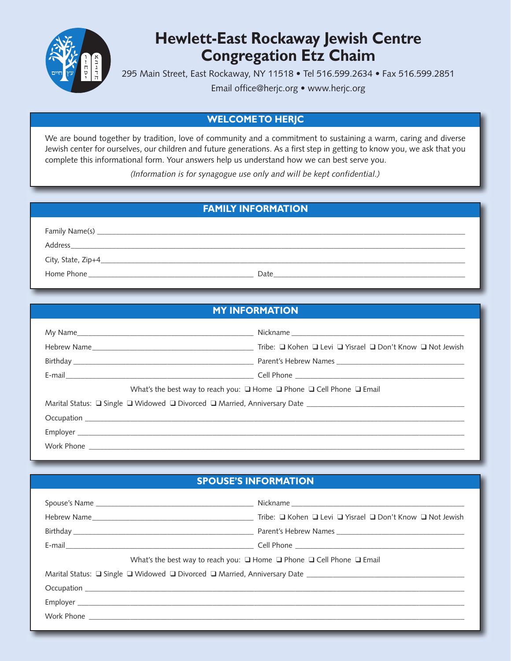

# **Hewlett-East Rockaway Jewish Centre Congregation Etz Chaim**

295 Main Street, East Rockaway, NY 11518 • Tel 516.599.2634 • Fax 516.599.2851

Email office@herjc.org • www.herjc.org

## **WELCOME TO HERJC**

We are bound together by tradition, love of community and a commitment to sustaining a warm, caring and diverse Jewish center for ourselves, our children and future generations. As a first step in getting to know you, we ask that you complete this informational form. Your answers help us understand how we can best serve you.

*(Information is for synagogue use only and will be kept confidential.)*

# **FAMILY INFORMATION**

|      | Family Name(s) ____ |  |
|------|---------------------|--|
|      | Address             |  |
|      |                     |  |
| Date | Home Phone          |  |

## **MY INFORMATION**

|  | Tribe: □ Kohen □ Levi □ Yisrael □ Don't Know □ Not Jewish                                 |  |  |
|--|-------------------------------------------------------------------------------------------|--|--|
|  |                                                                                           |  |  |
|  |                                                                                           |  |  |
|  | What's the best way to reach you: $\Box$ Home $\Box$ Phone $\Box$ Cell Phone $\Box$ Email |  |  |
|  |                                                                                           |  |  |
|  |                                                                                           |  |  |
|  |                                                                                           |  |  |
|  |                                                                                           |  |  |

### **SPOUSE'S INFORMATION**

| What's the best way to reach you: $\Box$ Home $\Box$ Phone $\Box$ Cell Phone $\Box$ Email |  |  |  |  |
|-------------------------------------------------------------------------------------------|--|--|--|--|
|                                                                                           |  |  |  |  |
|                                                                                           |  |  |  |  |
|                                                                                           |  |  |  |  |
| Work Phone                                                                                |  |  |  |  |
|                                                                                           |  |  |  |  |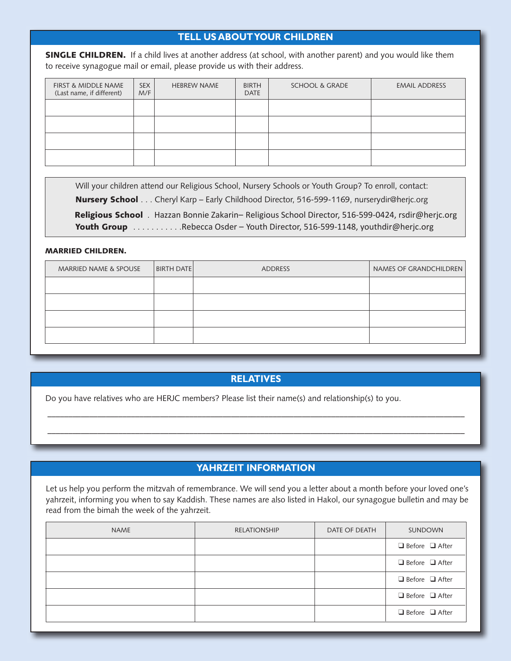## **TELL US ABOUT YOUR CHILDREN**

**SINGLE CHILDREN.** If a child lives at another address (at school, with another parent) and you would like them to receive synagogue mail or email, please provide us with their address.

| <b>FIRST &amp; MIDDLE NAME</b><br>(Last name, if different) | <b>SEX</b><br>M/F | <b>HEBREW NAME</b> | <b>BIRTH</b><br><b>DATE</b> | <b>SCHOOL &amp; GRADE</b> | <b>EMAIL ADDRESS</b> |
|-------------------------------------------------------------|-------------------|--------------------|-----------------------------|---------------------------|----------------------|
|                                                             |                   |                    |                             |                           |                      |
|                                                             |                   |                    |                             |                           |                      |
|                                                             |                   |                    |                             |                           |                      |
|                                                             |                   |                    |                             |                           |                      |

Will your children attend our Religious School, Nursery Schools or Youth Group? To enroll, contact: **Nursery School** . . . Cheryl Karp – Early Childhood Director, 516-599-1169, nurserydir@herjc.org **Religious School** . Hazzan Bonnie Zakarin– Religious School Director, 516-599-0424, rsdir@herjc.org Youth Group . . . . . . . . . . . Rebecca Osder - Youth Director, 516-599-1148, youthdir@herjc.org

#### **MARRIED CHILDREN.**

| <b>MARRIED NAME &amp; SPOUSE</b> | <b>BIRTH DATE</b> | ADDRESS | NAMES OF GRANDCHILDREN |
|----------------------------------|-------------------|---------|------------------------|
|                                  |                   |         |                        |
|                                  |                   |         |                        |
|                                  |                   |         |                        |
|                                  |                   |         |                        |

#### **RELATIVES**

––––––––––––––––––––––––––––––––––––––––––––––––––––––––––––––––––––––––––––––––––––––––––––––––––––

––––––––––––––––––––––––––––––––––––––––––––––––––––––––––––––––––––––––––––––––––––––––––––––––––––

Do you have relatives who are HERJC members? Please list their name(s) and relationship(s) to you.

### **YAHRZEIT INFORMATION**

Let us help you perform the mitzvah of remembrance. We will send you a letter about a month before your loved one's yahrzeit, informing you when to say Kaddish. These names are also listed in Hakol, our synagogue bulletin and may be read from the bimah the week of the yahrzeit.

| NAME | <b>RELATIONSHIP</b> | DATE OF DEATH | <b>SUNDOWN</b>             |
|------|---------------------|---------------|----------------------------|
|      |                     |               | $\Box$ Before $\Box$ After |
|      |                     |               | $\Box$ Before $\Box$ After |
|      |                     |               | $\Box$ Before $\Box$ After |
|      |                     |               | $\Box$ Before $\Box$ After |
|      |                     |               | $\Box$ Before $\Box$ After |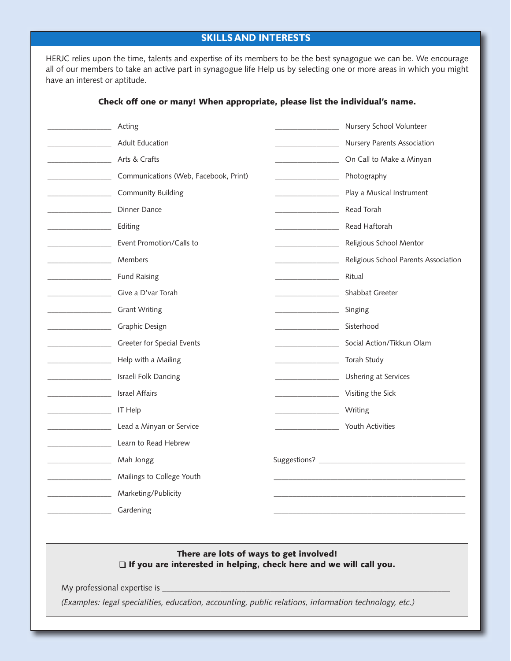### **SKILLS AND INTERESTS**

HERJC relies upon the time, talents and expertise of its members to be the best synagogue we can be. We encourage all of our members to take an active part in synagogue life Help us by selecting one or more areas in which you might have an interest or aptitude.

#### \_\_\_\_\_\_\_\_\_\_\_\_\_\_\_\_\_ Acting \_\_\_\_\_\_\_\_\_\_\_\_\_\_\_\_\_ Adult Education \_\_\_\_\_\_\_\_\_\_\_\_\_\_\_\_\_ Arts & Crafts \_\_\_\_\_\_\_\_\_\_\_\_\_\_\_\_\_ Communications (Web, Facebook, Print) \_\_\_\_\_\_\_\_\_\_\_\_\_\_\_\_\_ Community Building \_\_\_\_\_\_\_\_\_\_\_\_\_\_\_\_\_ Dinner Dance \_\_\_\_\_\_\_\_\_\_\_\_\_\_\_\_\_ Editing \_\_\_\_\_\_\_\_\_\_\_\_\_\_\_\_\_ Event Promotion/Calls to \_\_\_\_\_\_\_\_\_\_\_\_\_\_\_\_\_ Members **Example 2** Fund Raising \_\_\_\_\_\_\_\_\_\_\_\_\_\_\_\_\_ Give a D'var Torah \_\_\_\_\_\_\_\_\_\_\_\_\_\_\_\_\_ Grant Writing \_\_\_\_\_\_\_\_\_\_\_\_\_\_\_\_\_ Graphic Design \_\_\_\_\_\_\_\_\_\_\_\_\_\_\_\_\_ Greeter for Special Events \_\_\_\_\_\_\_\_\_\_\_\_\_\_\_\_\_ Help with a Mailing \_\_\_\_\_\_\_\_\_\_\_\_\_\_\_\_\_ Israeli Folk Dancing \_\_\_\_\_\_\_\_\_\_\_\_\_\_\_\_\_ Israel Affairs  $\frac{1}{\sqrt{1 + \frac{1}{\sqrt{1 + \frac{1}{\sqrt{1 + \frac{1}{\sqrt{1 + \frac{1}{\sqrt{1 + \frac{1}{\sqrt{1 + \frac{1}{\sqrt{1 + \frac{1}{\sqrt{1 + \frac{1}{\sqrt{1 + \frac{1}{\sqrt{1 + \frac{1}{\sqrt{1 + \frac{1}{\sqrt{1 + \frac{1}{\sqrt{1 + \frac{1}{\sqrt{1 + \frac{1}{\sqrt{1 + \frac{1}{\sqrt{1 + \frac{1}{\sqrt{1 + \frac{1}{\sqrt{1 + \frac{1}{\sqrt{1 + \frac{1}{\sqrt{1 + \frac{1}{\sqrt{1 + \frac{1}{\sqrt{1 +$ Lead a Minyan or Service \_\_\_\_\_\_\_\_\_\_\_\_\_\_\_\_\_ Learn to Read Hebrew \_\_\_\_\_\_\_\_\_\_\_\_\_\_\_\_\_ Mah Jongg \_\_\_\_\_\_\_\_\_\_\_\_\_\_\_\_\_ Mailings to College Youth \_\_\_\_\_\_\_\_\_\_\_\_\_\_\_\_\_ Marketing/Publicity \_\_\_\_\_\_\_\_\_\_\_\_\_\_\_\_\_ Gardening \_\_\_\_\_\_\_\_\_\_\_\_\_\_\_\_\_ Nursery School Volunteer \_\_\_\_\_\_\_\_\_\_\_\_\_\_\_\_\_ Nursery Parents Association \_\_\_\_\_\_\_\_\_\_\_\_\_\_\_\_\_ On Call to Make a Minyan \_\_\_\_\_\_\_\_\_\_\_\_\_\_\_\_\_ Photography \_\_\_\_\_\_\_\_\_\_\_\_\_\_\_\_\_ Play a Musical Instrument \_\_\_\_\_\_\_\_\_\_\_\_\_\_\_\_\_ Read Torah \_\_\_\_\_\_\_\_\_\_\_\_\_\_\_\_\_ Read Haftorah \_\_\_\_\_\_\_\_\_\_\_\_\_\_\_\_\_ Religious School Mentor Religious School Parents Association \_\_\_\_\_\_\_\_\_\_\_\_\_\_\_\_\_ Ritual \_\_\_\_\_\_\_\_\_\_\_\_ Shabbat Greeter \_\_\_\_\_\_\_\_\_\_\_\_\_\_\_\_\_ Singing \_\_\_\_\_\_\_\_\_\_\_\_\_\_\_\_\_ Sisterhood Social Action/Tikkun Olam \_\_\_\_\_\_\_\_\_\_\_\_\_\_\_\_\_ Torah Study \_\_\_\_\_\_\_\_\_\_\_\_\_\_\_\_\_ Ushering at Services \_\_\_\_\_\_\_\_\_\_\_\_\_\_\_\_\_ Visiting the Sick \_\_\_\_\_\_\_\_\_\_\_\_\_\_\_\_\_ Writing \_\_\_\_\_\_\_\_\_\_\_\_\_\_\_\_\_ Youth Activities Suggestions? \_\_\_\_\_\_\_\_\_\_\_\_\_\_\_\_\_\_\_\_\_\_\_\_\_\_\_\_\_\_\_\_\_\_\_\_\_\_\_\_\_\_\_\_\_\_\_\_\_\_\_ \_\_\_\_\_\_\_\_\_\_\_\_\_\_\_\_\_\_\_\_\_\_\_\_\_\_\_\_\_\_\_\_\_\_\_\_\_\_\_\_\_\_\_\_\_\_\_\_\_\_\_ \_\_\_\_\_\_\_\_\_\_\_\_\_\_\_\_\_\_\_\_\_\_\_\_\_\_\_\_\_\_\_\_\_\_\_\_\_\_\_\_\_\_\_\_\_\_\_\_\_\_\_

#### **Check off one or many! When appropriate, please list the individual's name.**

#### **There are lots of ways to get involved!** q **If you are interested in helping, check here and we will call you.**

My professional expertise is \_\_\_\_\_\_\_\_\_\_\_\_\_\_\_\_\_\_\_\_\_\_\_\_\_\_\_\_\_\_\_\_\_\_\_\_\_\_\_\_\_\_\_\_\_\_\_\_\_\_\_\_\_\_\_\_\_\_\_\_\_\_\_\_\_\_\_\_\_

*(Examples: legal specialities, education, accounting, public relations, information technology, etc.)*